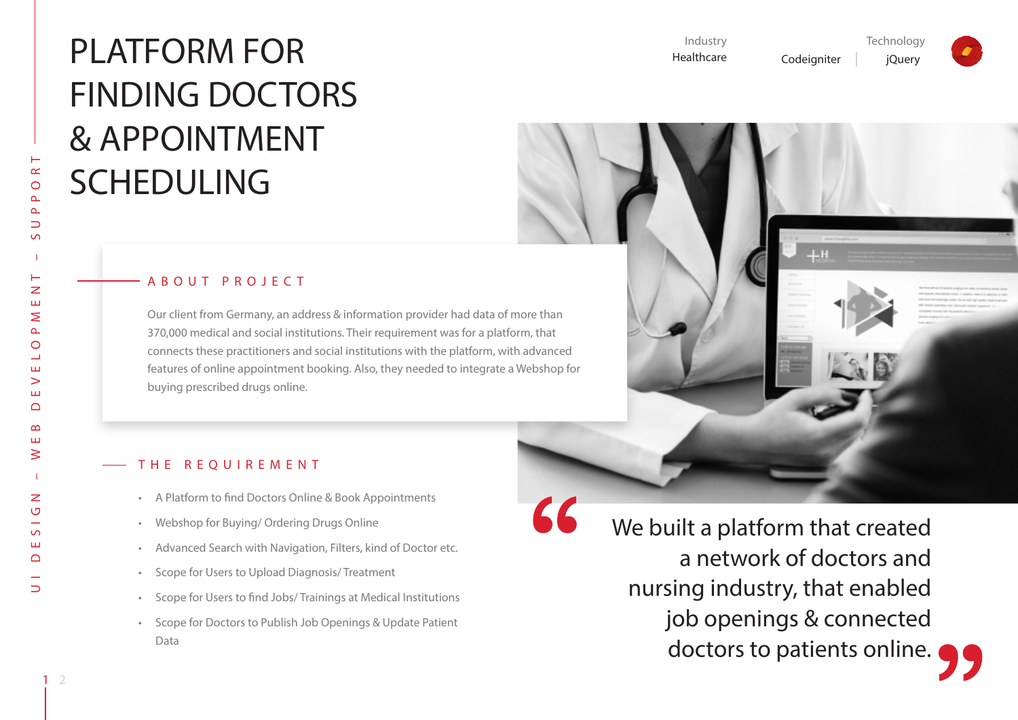# PLATFORM FOR FINDING DOCTORS & APPOINTMENT SCHEDULING

#### Industry Healthcare **Technology** Codeigniter | jQuery

#### UI DESIGN – WEB DEVELOPMENT – SUPPORT  $\alpha$  $\circ$  $\Delta$  $\Delta$  $\Rightarrow$ Н  $\overline{z}$ Ш  $\geq$  $\Delta$  $\circ$ ┙ Ш  $\geq$ ш  $\Omega$  $\infty$ ш ≷  $\overline{z}$  $\circ$  $\sim$ ш  $\cap$  $\supset$

#### ABOUT PROJECT

Our client from Germany, an address & information provider had data of more than 370,000 medical and social institutions. Their requirement was for a platform, that connects these practitioners and social institutions with the platform, with advanced features of online appointment booking. Also, they needed to integrate a Webshop for buying prescribed drugs online.



#### THE REOUIREMENT

- • A Platform to find Doctors Online & Book Appointments
- • Webshop for Buying/ Ordering Drugs Online
- • Advanced Search with Navigation, Filters, kind of Doctor etc.
- • Scope for Users to Upload Diagnosis/ Treatment
- • Scope for Users to find Jobs/ Trainings at Medical Institutions
- • Scope for Doctors to Publish Job Openings & Update Patient Data

We built a platform that created a network of doctors and nursing industry, that enabled job openings & connected doctors to patients online.